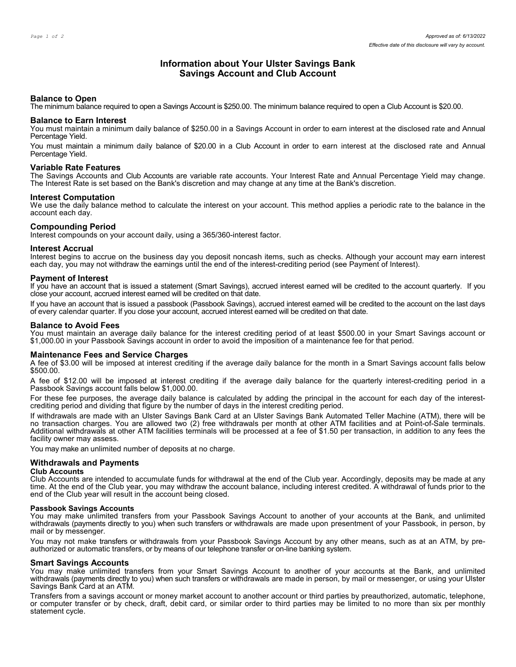# **Information about Your Ulster Savings Bank Savings Account and Club Account**

## **Balance to Open**

The minimum balance required to open a Savings Account is \$250.00. The minimum balance required to open a Club Account is \$20.00.

## **Balance to Earn Interest**

You must maintain a minimum daily balance of \$250.00 in a Savings Account in order to earn interest at the disclosed rate and Annual Percentage Yield.

You must maintain a minimum daily balance of \$20.00 in a Club Account in order to earn interest at the disclosed rate and Annual Percentage Yield.

## **Variable Rate Features**

The Savings Accounts and Club Accounts are variable rate accounts. Your Interest Rate and Annual Percentage Yield may change. The Interest Rate is set based on the Bank's discretion and may change at any time at the Bank's discretion.

## **Interest Computation**

We use the daily balance method to calculate the interest on your account. This method applies a periodic rate to the balance in the account each day.

# **Compounding Period**

Interest compounds on your account daily, using a 365/360-interest factor.

### **Interest Accrual**

Interest begins to accrue on the business day you deposit noncash items, such as checks. Although your account may earn interest each day, you may not withdraw the earnings until the end of the interest-crediting period (see Payment of Interest).

### **Payment of Interest**

If you have an account that is issued a statement (Smart Savings), accrued interest earned will be credited to the account quarterly. If you close your account, accrued interest earned will be credited on that date.

If you have an account that is issued a passbook (Passbook Savings), accrued interest earned will be credited to the account on the last days of every calendar quarter. If you close your account, accrued interest earned will be credited on that date.

## **Balance to Avoid Fees**

You must maintain an average daily balance for the interest crediting period of at least \$500.00 in your Smart Savings account or \$1,000.00 in your Passbook Savings account in order to avoid the imposition of a maintenance fee for that period.

### **Maintenance Fees and Service Charges**

A fee of \$3.00 will be imposed at interest crediting if the average daily balance for the month in a Smart Savings account falls below \$500.00.

A fee of \$12.00 will be imposed at interest crediting if the average daily balance for the quarterly interest-crediting period in a Passbook Savings account falls below \$1,000.00.

For these fee purposes, the average daily balance is calculated by adding the principal in the account for each day of the interestcrediting period and dividing that figure by the number of days in the interest crediting period.

If withdrawals are made with an Ulster Savings Bank Card at an Ulster Savings Bank Automated Teller Machine (ATM), there will be no transaction charges. You are allowed two (2) free withdrawals per month at other ATM facilities and at Point-of-Sale terminals. Additional withdrawals at other ATM facilities terminals will be processed at a fee of \$1.50 per transaction, in addition to any fees the facility owner may assess.

You may make an unlimited number of deposits at no charge.

### **Withdrawals and Payments**

### **Club Accounts**

Club Accounts are intended to accumulate funds for withdrawal at the end of the Club year. Accordingly, deposits may be made at any time. At the end of the Club year, you may withdraw the account balance, including interest credited. A withdrawal of funds prior to the end of the Club year will result in the account being closed.

### **Passbook Savings Accounts**

You may make unlimited transfers from your Passbook Savings Account to another of your accounts at the Bank, and unlimited withdrawals (payments directly to you) when such transfers or withdrawals are made upon presentment of your Passbook, in person, by mail or by messenger.

You may not make transfers or withdrawals from your Passbook Savings Account by any other means, such as at an ATM, by preauthorized or automatic transfers, or by means of our telephone transfer or on-line banking system.

### **Smart Savings Accounts**

You may make unlimited transfers from your Smart Savings Account to another of your accounts at the Bank, and unlimited withdrawals (payments directly to you) when such transfers or withdrawals are made in person, by mail or messenger, or using your Ulster Savings Bank Card at an ATM.

Transfers from a savings account or money market account to another account or third parties by preauthorized, automatic, telephone, or computer transfer or by check, draft, debit card, or similar order to third parties may be limited to no more than six per monthly statement cycle.